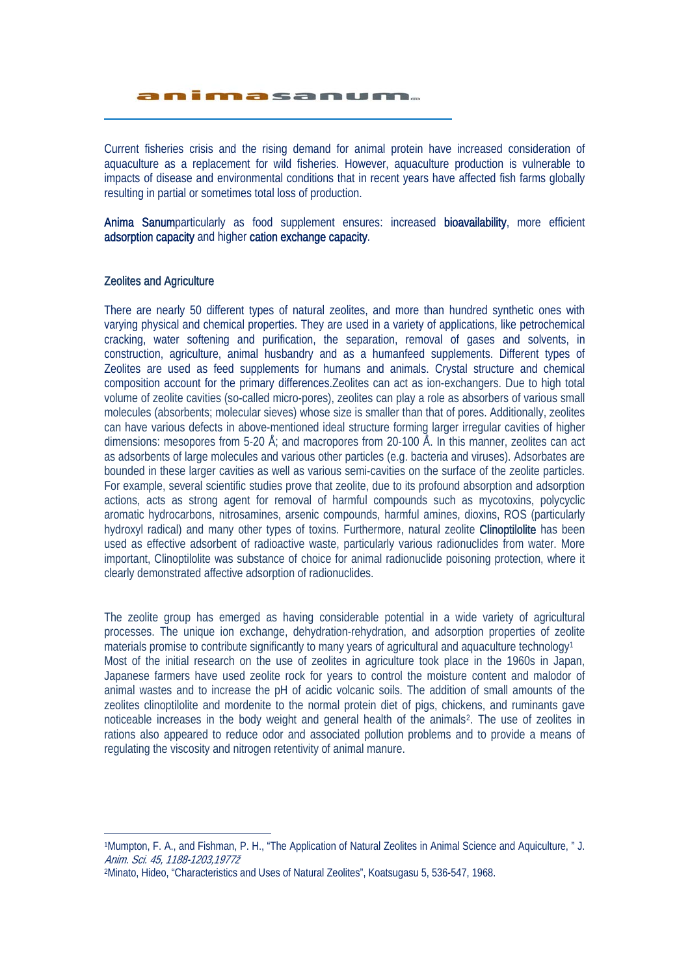animasanum.

Current fisheries crisis and the rising demand for animal protein have increased consideration of aquaculture as a replacement for wild fisheries. However, aquaculture production is vulnerable to impacts of disease and environmental conditions that in recent years have affected fish farms globally resulting in partial or sometimes total loss of production.

J

Anima Sanumparticularly as food supplement ensures: increased bioavailability, more efficient adsorption capacity and higher cation exchange capacity.

#### Zeolites and Agriculture

There are nearly 50 different types of natural zeolites, and more than hundred synthetic ones with varying physical and chemical properties. They are used in a variety of applications, like petrochemical cracking, water softening and purification, the separation, removal of gases and solvents, in construction, agriculture, animal husbandry and as a humanfeed supplements. Different types of Zeolites are used as feed supplements for humans and animals. Crystal structure and chemical composition account for the primary differences.Zeolites can act as ion-exchangers. Due to high total volume of zeolite cavities (so-called micro-pores), zeolites can play a role as absorbers of various small molecules (absorbents; molecular sieves) whose size is smaller than that of pores. Additionally, zeolites can have various defects in above-mentioned ideal structure forming larger irregular cavities of higher dimensions: mesopores from 5-20 Å; and macropores from 20-100 Å. In this manner, zeolites can act as adsorbents of large molecules and various other particles (e.g. bacteria and viruses). Adsorbates are bounded in these larger cavities as well as various semi-cavities on the surface of the zeolite particles. For example, several scientific studies prove that zeolite, due to its profound absorption and adsorption actions, acts as strong agent for removal of harmful compounds such as mycotoxins, polycyclic aromatic hydrocarbons, nitrosamines, arsenic compounds, harmful amines, dioxins, ROS (particularly hydroxyl radical) and many other types of toxins. Furthermore, natural zeolite Clinoptilolite has been used as effective adsorbent of radioactive waste, particularly various radionuclides from water. More important, Clinoptilolite was substance of choice for animal radionuclide poisoning protection, where it clearly demonstrated affective adsorption of radionuclides.

The zeolite group has emerged as having considerable potential in a wide variety of agricultural processes. The unique ion exchange, dehydration-rehydration, and adsorption properties of zeolite materials promise to contribute significantly to many years of agricultural and aquaculture technology<sup>1</sup> Most of the initial research on the use of zeolites in agriculture took place in the 1960s in Japan, Japanese farmers have used zeolite rock for years to control the moisture content and malodor of animal wastes and to increase the pH of acidic volcanic soils. The addition of small amounts of the zeolites clinoptilolite and mordenite to the normal protein diet of pigs, chickens, and ruminants gave noticeable increases in the body weight and general health of the animals<sup>2</sup>. The use of zeolites in rations also appeared to reduce odor and associated pollution problems and to provide a means of regulating the viscosity and nitrogen retentivity of animal manure.

 <sup>1</sup>Mumpton, F. A., and Fishman, P. H., "The Application of Natural Zeolites in Animal Science and Aquiculture, " J. Anim. Sci. 45, 1188-1203,1977ž

<sup>2</sup>Minato, Hideo, "Characteristics and Uses of Natural Zeolites", Koatsugasu 5, 536-547, 1968.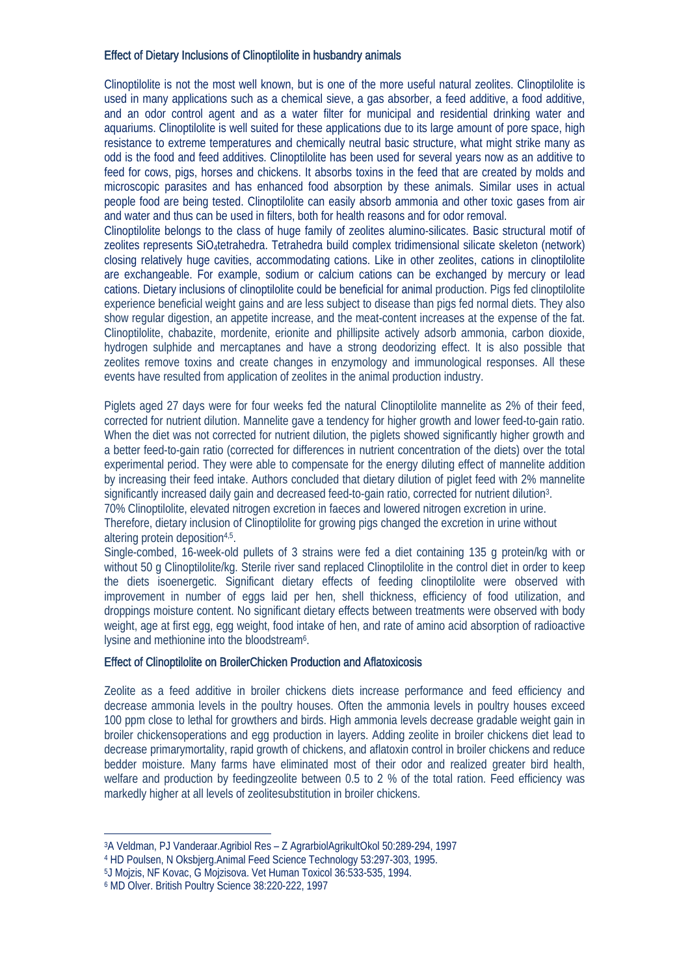### Effect of Dietary Inclusions of Clinoptilolite in husbandry animals

Clinoptilolite is not the most well known, but is one of the more useful natural zeolites. Clinoptilolite is used in many applications such as a chemical sieve, a gas absorber, a feed additive, a food additive, and an odor control agent and as a water filter for municipal and residential drinking water and aquariums. Clinoptilolite is well suited for these applications due to its large amount of pore space, high resistance to extreme temperatures and chemically neutral basic structure, what might strike many as odd is the food and feed additives. Clinoptilolite has been used for several years now as an additive to feed for cows, pigs, horses and chickens. It absorbs toxins in the feed that are created by molds and microscopic parasites and has enhanced food absorption by these animals. Similar uses in actual people food are being tested. Clinoptilolite can easily absorb ammonia and other toxic gases from air and water and thus can be used in filters, both for health reasons and for odor removal.

Clinoptilolite belongs to the class of huge family of zeolites alumino-silicates. Basic structural motif of zeolites represents SiO4tetrahedra. Tetrahedra build complex tridimensional silicate skeleton (network) closing relatively huge cavities, accommodating cations. Like in other zeolites, cations in clinoptilolite are exchangeable. For example, sodium or calcium cations can be exchanged by mercury or lead cations. Dietary inclusions of clinoptilolite could be beneficial for animal production. Pigs fed clinoptilolite experience beneficial weight gains and are less subject to disease than pigs fed normal diets. They also show regular digestion, an appetite increase, and the meat-content increases at the expense of the fat. Clinoptilolite, chabazite, mordenite, erionite and phillipsite actively adsorb ammonia, carbon dioxide, hydrogen sulphide and mercaptanes and have a strong deodorizing effect. It is also possible that zeolites remove toxins and create changes in enzymology and immunological responses. All these events have resulted from application of zeolites in the animal production industry.

Piglets aged 27 days were for four weeks fed the natural Clinoptilolite mannelite as 2% of their feed, corrected for nutrient dilution. Mannelite gave a tendency for higher growth and lower feed-to-gain ratio. When the diet was not corrected for nutrient dilution, the piglets showed significantly higher growth and a better feed-to-gain ratio (corrected for differences in nutrient concentration of the diets) over the total experimental period. They were able to compensate for the energy diluting effect of mannelite addition by increasing their feed intake. Authors concluded that dietary dilution of piglet feed with 2% mannelite significantly increased daily gain and decreased feed-to-gain ratio, corrected for nutrient dilution<sup>3</sup>. 70% Clinoptilolite, elevated nitrogen excretion in faeces and lowered nitrogen excretion in urine.

Therefore, dietary inclusion of Clinoptilolite for growing pigs changed the excretion in urine without altering protein deposition4,5.

Single-combed, 16-week-old pullets of 3 strains were fed a diet containing 135 g protein/kg with or without 50 g Clinoptilolite/kg. Sterile river sand replaced Clinoptilolite in the control diet in order to keep the diets isoenergetic. Significant dietary effects of feeding clinoptilolite were observed with improvement in number of eggs laid per hen, shell thickness, efficiency of food utilization, and droppings moisture content. No significant dietary effects between treatments were observed with body weight, age at first egg, egg weight, food intake of hen, and rate of amino acid absorption of radioactive lysine and methionine into the bloodstream6.

#### Effect of Clinoptilolite on BroilerChicken Production and Aflatoxicosis

Zeolite as a feed additive in broiler chickens diets increase performance and feed efficiency and decrease ammonia levels in the poultry houses. Often the ammonia levels in poultry houses exceed 100 ppm close to lethal for growthers and birds. High ammonia levels decrease gradable weight gain in broiler chickensoperations and egg production in layers. Adding zeolite in broiler chickens diet lead to decrease primarymortality, rapid growth of chickens, and aflatoxin control in broiler chickens and reduce bedder moisture. Many farms have eliminated most of their odor and realized greater bird health, welfare and production by feedingzeolite between 0.5 to 2 % of the total ration. Feed efficiency was markedly higher at all levels of zeolitesubstitution in broiler chickens.

 <sup>3</sup>A Veldman, PJ Vanderaar.Agribiol Res – Z AgrarbiolAgrikultOkol 50:289-294, 1997

<sup>4</sup> HD Poulsen, N Oksbjerg.Animal Feed Science Technology 53:297-303, 1995.

<sup>5</sup>J Mojzis, NF Kovac, G Mojzisova. Vet Human Toxicol 36:533-535, 1994.

<sup>6</sup> MD Olver. British Poultry Science 38:220-222, 1997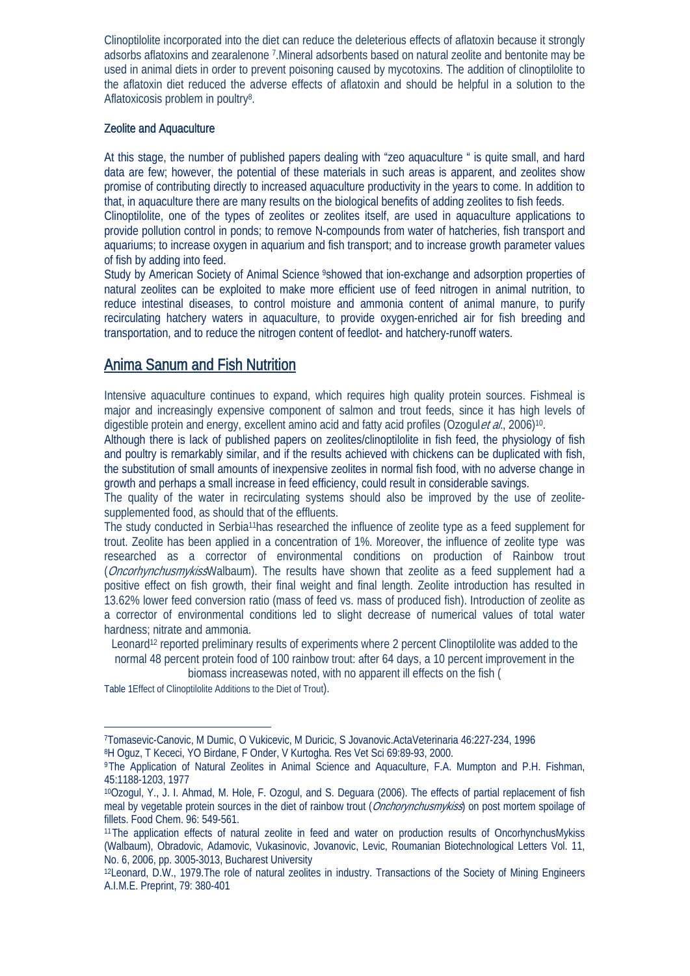Clinoptilolite incorporated into the diet can reduce the deleterious effects of aflatoxin because it strongly adsorbs aflatoxins and zearalenone 7.Mineral adsorbents based on natural zeolite and bentonite may be used in animal diets in order to prevent poisoning caused by mycotoxins. The addition of clinoptilolite to the aflatoxin diet reduced the adverse effects of aflatoxin and should be helpful in a solution to the Aflatoxicosis problem in poultry8.

#### Zeolite and Aquaculture

At this stage, the number of published papers dealing with "zeo aquaculture " is quite small, and hard data are few; however, the potential of these materials in such areas is apparent, and zeolites show promise of contributing directly to increased aquaculture productivity in the years to come. In addition to that, in aquaculture there are many results on the biological benefits of adding zeolites to fish feeds.

Clinoptilolite, one of the types of zeolites or zeolites itself, are used in aquaculture applications to provide pollution control in ponds; to remove N-compounds from water of hatcheries, fish transport and aquariums; to increase oxygen in aquarium and fish transport; and to increase growth parameter values of fish by adding into feed.

Study by American Society of Animal Science <sup>9</sup>showed that ion-exchange and adsorption properties of natural zeolites can be exploited to make more efficient use of feed nitrogen in animal nutrition, to reduce intestinal diseases, to control moisture and ammonia content of animal manure, to purify recirculating hatchery waters in aquaculture, to provide oxygen-enriched air for fish breeding and transportation, and to reduce the nitrogen content of feedlot- and hatchery-runoff waters.

# Anima Sanum and Fish Nutrition

Intensive aquaculture continues to expand, which requires high quality protein sources. Fishmeal is major and increasingly expensive component of salmon and trout feeds, since it has high levels of digestible protein and energy, excellent amino acid and fatty acid profiles (Ozogulet al., 2006)<sup>10</sup>.

Although there is lack of published papers on zeolites/clinoptilolite in fish feed, the physiology of fish and poultry is remarkably similar, and if the results achieved with chickens can be duplicated with fish, the substitution of small amounts of inexpensive zeolites in normal fish food, with no adverse change in growth and perhaps a small increase in feed efficiency, could result in considerable savings.

The quality of the water in recirculating systems should also be improved by the use of zeolitesupplemented food, as should that of the effluents.

The study conducted in Serbia11has researched the influence of zeolite type as a feed supplement for trout. Zeolite has been applied in a concentration of 1%. Moreover, the influence of zeolite type was researched as a corrector of environmental conditions on production of Rainbow trout (*Oncorhynchusmykiss*Walbaum). The results have shown that zeolite as a feed supplement had a positive effect on fish growth, their final weight and final length. Zeolite introduction has resulted in 13.62% lower feed conversion ratio (mass of feed vs. mass of produced fish). Introduction of zeolite as a corrector of environmental conditions led to slight decrease of numerical values of total water hardness; nitrate and ammonia.

Leonard12 reported preliminary results of experiments where 2 percent Clinoptilolite was added to the normal 48 percent protein food of 100 rainbow trout: after 64 days, a 10 percent improvement in the

biomass increasewas noted, with no apparent ill effects on the fish (

Table 1Effect of Clinoptilolite Additions to the Diet of Trout).

 <sup>7</sup>Tomasevic-Canovic, M Dumic, O Vukicevic, M Duricic, S Jovanovic.ActaVeterinaria 46:227-234, 1996 8H Oguz, T Kececi, YO Birdane, F Onder, V Kurtogha. Res Vet Sci 69:89-93, 2000.

<sup>9</sup>The Application of Natural Zeolites in Animal Science and Aquaculture, F.A. Mumpton and P.H. Fishman, 45:1188-1203, 1977

<sup>10</sup>Ozogul, Y., J. I. Ahmad, M. Hole, F. Ozogul, and S. Deguara (2006). The effects of partial replacement of fish meal by vegetable protein sources in the diet of rainbow trout (Onchorynchusmykiss) on post mortem spoilage of fillets. Food Chem. 96: 549-561.

<sup>11</sup>The application effects of natural zeolite in feed and water on production results of OncorhynchusMykiss (Walbaum), Obradovic, Adamovic, Vukasinovic, Jovanovic, Levic, Roumanian Biotechnological Letters Vol. 11, No. 6, 2006, pp. 3005-3013, Bucharest University

<sup>12</sup>Leonard, D.W., 1979. The role of natural zeolites in industry. Transactions of the Society of Mining Engineers A.I.M.E. Preprint, 79: 380-401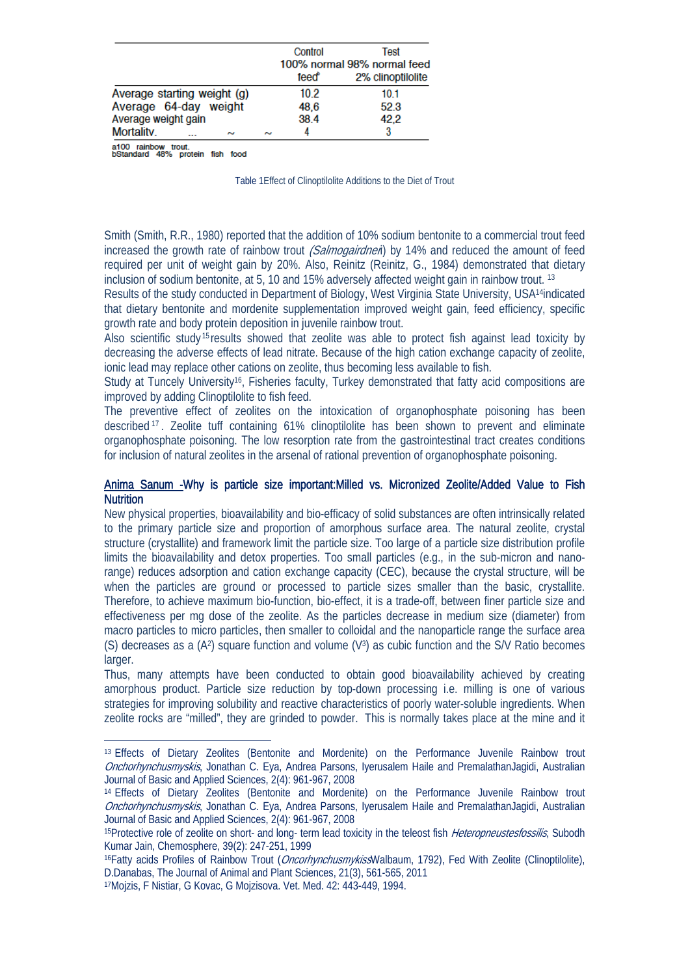|                             | Control                     |  | <b>Test</b>       |
|-----------------------------|-----------------------------|--|-------------------|
|                             | 100% normal 98% normal feed |  |                   |
|                             | feed                        |  | 2% clinoptilolite |
| Average starting weight (g) | 10.2                        |  | 10.1              |
| Average 64-day weight       | 48,6                        |  | 52.3              |
| Average weight gain         | 38.4                        |  | 42.2              |
| <b>Mortality</b><br>$\sim$  | $\sim$                      |  | 3                 |

a100 rainbow trout.<br>bStandard 48% protein fish food

Table 1Effect of Clinoptilolite Additions to the Diet of Trout

Smith (Smith, R.R., 1980) reported that the addition of 10% sodium bentonite to a commercial trout feed increased the growth rate of rainbow trout *(Salmogairdneri*) by 14% and reduced the amount of feed required per unit of weight gain by 20%. Also, Reinitz (Reinitz, G., 1984) demonstrated that dietary inclusion of sodium bentonite, at 5, 10 and 15% adversely affected weight gain in rainbow trout. 13

Results of the study conducted in Department of Biology, West Virginia State University, USA14indicated that dietary bentonite and mordenite supplementation improved weight gain, feed efficiency, specific growth rate and body protein deposition in juvenile rainbow trout.

Also scientific study <sup>15</sup> results showed that zeolite was able to protect fish against lead toxicity by decreasing the adverse effects of lead nitrate. Because of the high cation exchange capacity of zeolite, ionic lead may replace other cations on zeolite, thus becoming less available to fish.

Study at Tuncely University<sup>16</sup>, Fisheries faculty, Turkey demonstrated that fatty acid compositions are improved by adding Clinoptilolite to fish feed.

The preventive effect of zeolites on the intoxication of organophosphate poisoning has been described <sup>17</sup> . Zeolite tuff containing 61% clinoptilolite has been shown to prevent and eliminate organophosphate poisoning. The low resorption rate from the gastrointestinal tract creates conditions for inclusion of natural zeolites in the arsenal of rational prevention of organophosphate poisoning.

#### Anima Sanum -Why is particle size important:Milled vs. Micronized Zeolite/Added Value to Fish **Nutrition**

New physical properties, bioavailability and bio-efficacy of solid substances are often intrinsically related to the primary particle size and proportion of amorphous surface area. The natural zeolite, crystal structure (crystallite) and framework limit the particle size. Too large of a particle size distribution profile limits the bioavailability and detox properties. Too small particles (e.g., in the sub-micron and nanorange) reduces adsorption and cation exchange capacity (CEC), because the crystal structure, will be when the particles are ground or processed to particle sizes smaller than the basic, crystallite. Therefore, to achieve maximum bio-function, bio-effect, it is a trade-off, between finer particle size and effectiveness per mg dose of the zeolite. As the particles decrease in medium size (diameter) from macro particles to micro particles, then smaller to colloidal and the nanoparticle range the surface area (S) decreases as a  $(A^2)$  square function and volume  $(V^3)$  as cubic function and the S/V Ratio becomes larger.

Thus, many attempts have been conducted to obtain good bioavailability achieved by creating amorphous product. Particle size reduction by top-down processing i.e. milling is one of various strategies for improving solubility and reactive characteristics of poorly water-soluble ingredients. When zeolite rocks are "milled", they are grinded to powder. This is normally takes place at the mine and it

 <sup>13</sup> Effects of Dietary Zeolites (Bentonite and Mordenite) on the Performance Juvenile Rainbow trout Onchorhynchusmyskis, Jonathan C. Eya, Andrea Parsons, Iyerusalem Haile and PremalathanJagidi, Australian Journal of Basic and Applied Sciences, 2(4): 961-967, 2008

<sup>14</sup> Effects of Dietary Zeolites (Bentonite and Mordenite) on the Performance Juvenile Rainbow trout Onchorhynchusmyskis, Jonathan C. Eya, Andrea Parsons, Iyerusalem Haile and PremalathanJagidi, Australian Journal of Basic and Applied Sciences, 2(4): 961-967, 2008

<sup>&</sup>lt;sup>15</sup>Protective role of zeolite on short- and long- term lead toxicity in the teleost fish *Heteropneustesfossilis*, Subodh Kumar Jain, Chemosphere, 39(2): 247-251, 1999

<sup>&</sup>lt;sup>16</sup>Fatty acids Profiles of Rainbow Trout (*Oncorhynchusmykiss*Walbaum, 1792), Fed With Zeolite (Clinoptilolite), D.Danabas, The Journal of Animal and Plant Sciences, 21(3), 561-565, 2011

<sup>17</sup>Mojzis, F Nistiar, G Kovac, G Mojzisova. Vet. Med. 42: 443-449, 1994.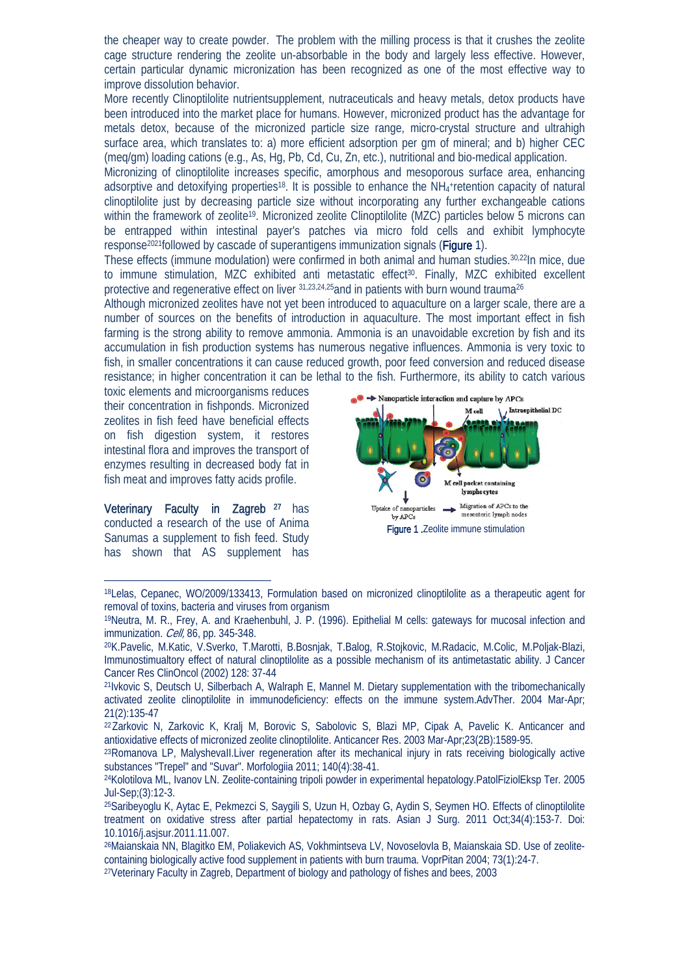the cheaper way to create powder. The problem with the milling process is that it crushes the zeolite cage structure rendering the zeolite un-absorbable in the body and largely less effective. However, certain particular dynamic micronization has been recognized as one of the most effective way to improve dissolution behavior.

More recently Clinoptilolite nutrientsupplement, nutraceuticals and heavy metals, detox products have been introduced into the market place for humans. However, micronized product has the advantage for metals detox, because of the micronized particle size range, micro-crystal structure and ultrahigh surface area, which translates to: a) more efficient adsorption per gm of mineral; and b) higher CEC (meq/gm) loading cations (e.g., As, Hg, Pb, Cd, Cu, Zn, etc.), nutritional and bio-medical application.

Micronizing of clinoptilolite increases specific, amorphous and mesoporous surface area, enhancing adsorptive and detoxifying properties<sup>18</sup>. It is possible to enhance the NH<sub>4</sub>+retention capacity of natural clinoptilolite just by decreasing particle size without incorporating any further exchangeable cations within the framework of zeolite<sup>19</sup>. Micronized zeolite Clinoptilolite (MZC) particles below 5 microns can be entrapped within intestinal payer's patches via micro fold cells and exhibit lymphocyte response<sup>2021</sup>followed by cascade of superantigens immunization signals (Figure 1).

These effects (immune modulation) were confirmed in both animal and human studies.30,22In mice, due to immune stimulation, MZC exhibited anti metastatic effect<sup>30</sup>. Finally, MZC exhibited excellent protective and regenerative effect on liver  $31,23,24,25$  and in patients with burn wound trauma<sup>26</sup>

Although micronized zeolites have not yet been introduced to aquaculture on a larger scale, there are a number of sources on the benefits of introduction in aquaculture. The most important effect in fish farming is the strong ability to remove ammonia. Ammonia is an unavoidable excretion by fish and its accumulation in fish production systems has numerous negative influences. Ammonia is very toxic to fish, in smaller concentrations it can cause reduced growth, poor feed conversion and reduced disease resistance; in higher concentration it can be lethal to the fish. Furthermore, its ability to catch various

toxic elements and microorganisms reduces their concentration in fishponds. Micronized zeolites in fish feed have beneficial effects on fish digestion system, it restores intestinal flora and improves the transport of enzymes resulting in decreased body fat in fish meat and improves fatty acids profile.

Veterinary Faculty in Zagreb<sup>27</sup> has conducted a research of the use of Anima Sanumas a supplement to fish feed. Study has shown that AS supplement has



 <sup>18</sup>Lelas, Cepanec, WO/2009/133413, Formulation based on micronized clinoptilolite as a therapeutic agent for removal of toxins, bacteria and viruses from organism

<sup>19</sup>Neutra, M. R., Frey, A. and Kraehenbuhl, J. P. (1996). Epithelial M cells: gateways for mucosal infection and immunization. *Cell*, 86, pp. 345-348.

<sup>20</sup>K.Pavelic, M.Katic, V.Sverko, T.Marotti, B.Bosnjak, T.Balog, R.Stojkovic, M.Radacic, M.Colic, M.Poljak-Blazi, Immunostimualtory effect of natural clinoptilolite as a possible mechanism of its antimetastatic ability. J Cancer Cancer Res ClinOncol (2002) 128: 37-44

<sup>21</sup>Ivkovic S, Deutsch U, Silberbach A, Walraph E, Mannel M. Dietary supplementation with the tribomechanically activated zeolite clinoptilolite in immunodeficiency: effects on the immune system.AdvTher. 2004 Mar-Apr; 21(2):135-47

<sup>22</sup>Zarkovic N, Zarkovic K, Kralj M, Borovic S, Sabolovic S, Blazi MP, Cipak A, Pavelic K. Anticancer and antioxidative effects of micronized zeolite clinoptilolite. Anticancer Res. 2003 Mar-Apr;23(2B):1589-95.

<sup>23</sup>Romanova LP, MalyshevaII.Liver regeneration after its mechanical injury in rats receiving biologically active substances "Trepel" and "Suvar". Morfologiia 2011; 140(4):38-41.

<sup>24</sup>Kolotilova ML, Ivanov LN. Zeolite-containing tripoli powder in experimental hepatology.PatolFiziolEksp Ter. 2005 Jul-Sep;(3):12-3.

<sup>25</sup>Saribeyoglu K, Aytac E, Pekmezci S, Saygili S, Uzun H, Ozbay G, Aydin S, Seymen HO. Effects of clinoptilolite treatment on oxidative stress after partial hepatectomy in rats. Asian J Surg. 2011 Oct;34(4):153-7. Doi: 10.1016/j.asjsur.2011.11.007.

<sup>26</sup>Maianskaia NN, Blagitko EM, Poliakevich AS, Vokhmintseva LV, NovoselovIa B, Maianskaia SD. Use of zeolitecontaining biologically active food supplement in patients with burn trauma. VoprPitan 2004; 73(1):24-7.

<sup>27</sup>Veterinary Faculty in Zagreb, Department of biology and pathology of fishes and bees, 2003